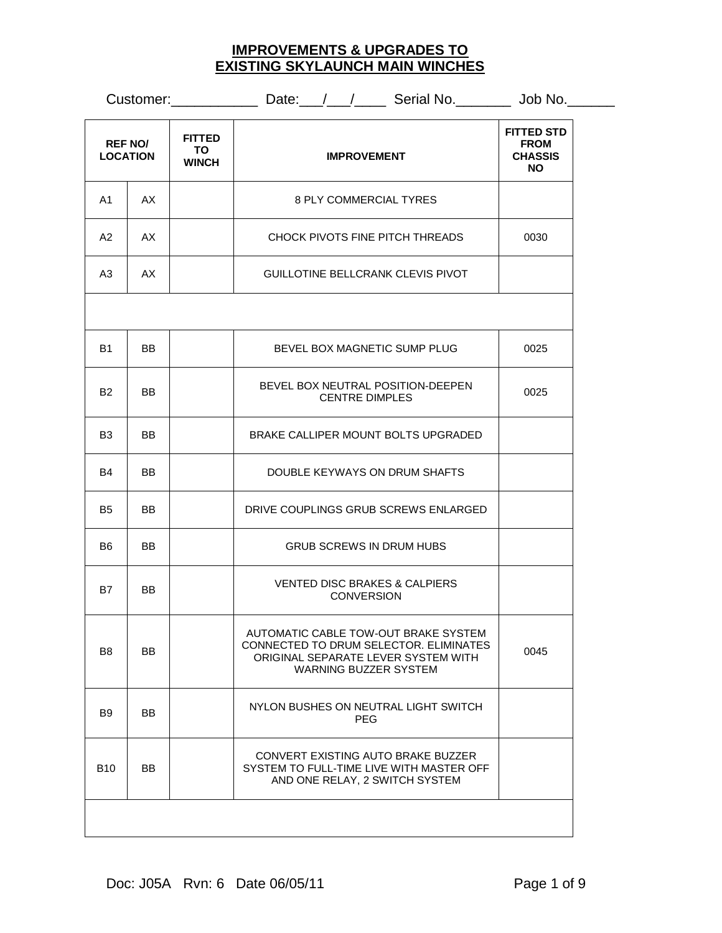## **IMPROVEMENTS & UPGRADES TO EXISTING SKYLAUNCH MAIN WINCHES**

|                                                                          |           |                    | Customer: _______________ Date: __/__/_______ Serial No. _________ Job No. ____                                                                       |                                                           |  |
|--------------------------------------------------------------------------|-----------|--------------------|-------------------------------------------------------------------------------------------------------------------------------------------------------|-----------------------------------------------------------|--|
| <b>FITTED</b><br><b>REF NO/</b><br>TO<br><b>LOCATION</b><br><b>WINCH</b> |           | <b>IMPROVEMENT</b> |                                                                                                                                                       | <b>FITTED STD</b><br><b>FROM</b><br><b>CHASSIS</b><br>NO. |  |
| A1                                                                       | AX        |                    | 8 PLY COMMERCIAL TYRES                                                                                                                                |                                                           |  |
| A2                                                                       | AX        |                    | CHOCK PIVOTS FINE PITCH THREADS                                                                                                                       | 0030                                                      |  |
| A <sub>3</sub>                                                           | AX        |                    | GUILLOTINE BELLCRANK CLEVIS PIVOT                                                                                                                     |                                                           |  |
|                                                                          |           |                    |                                                                                                                                                       |                                                           |  |
| <b>B1</b>                                                                | BB.       |                    | BEVEL BOX MAGNETIC SUMP PLUG                                                                                                                          | 0025                                                      |  |
| B <sub>2</sub>                                                           | <b>BB</b> |                    | BEVEL BOX NEUTRAL POSITION-DEEPEN<br><b>CENTRE DIMPLES</b>                                                                                            | 0025                                                      |  |
| B <sub>3</sub>                                                           | <b>BB</b> |                    | BRAKE CALLIPER MOUNT BOLTS UPGRADED                                                                                                                   |                                                           |  |
| B4                                                                       | BB.       |                    | DOUBLE KEYWAYS ON DRUM SHAFTS                                                                                                                         |                                                           |  |
| B5                                                                       | <b>BB</b> |                    | DRIVE COUPLINGS GRUB SCREWS ENLARGED                                                                                                                  |                                                           |  |
| B6                                                                       | BB.       |                    | <b>GRUB SCREWS IN DRUM HUBS</b>                                                                                                                       |                                                           |  |
| <b>B7</b>                                                                | <b>BB</b> |                    | <b>VENTED DISC BRAKES &amp; CALPIERS</b><br><b>CONVERSION</b>                                                                                         |                                                           |  |
| B <sub>8</sub>                                                           | BB        |                    | AUTOMATIC CABLE TOW-OUT BRAKE SYSTEM<br>CONNECTED TO DRUM SELECTOR. ELIMINATES<br>ORIGINAL SEPARATE LEVER SYSTEM WITH<br><b>WARNING BUZZER SYSTEM</b> | 0045                                                      |  |
| <b>B</b> 9                                                               | BB.       |                    | NYLON BUSHES ON NEUTRAL LIGHT SWITCH<br><b>PEG</b>                                                                                                    |                                                           |  |
| <b>B10</b>                                                               | <b>BB</b> |                    | CONVERT EXISTING AUTO BRAKE BUZZER<br>SYSTEM TO FULL-TIME LIVE WITH MASTER OFF<br>AND ONE RELAY, 2 SWITCH SYSTEM                                      |                                                           |  |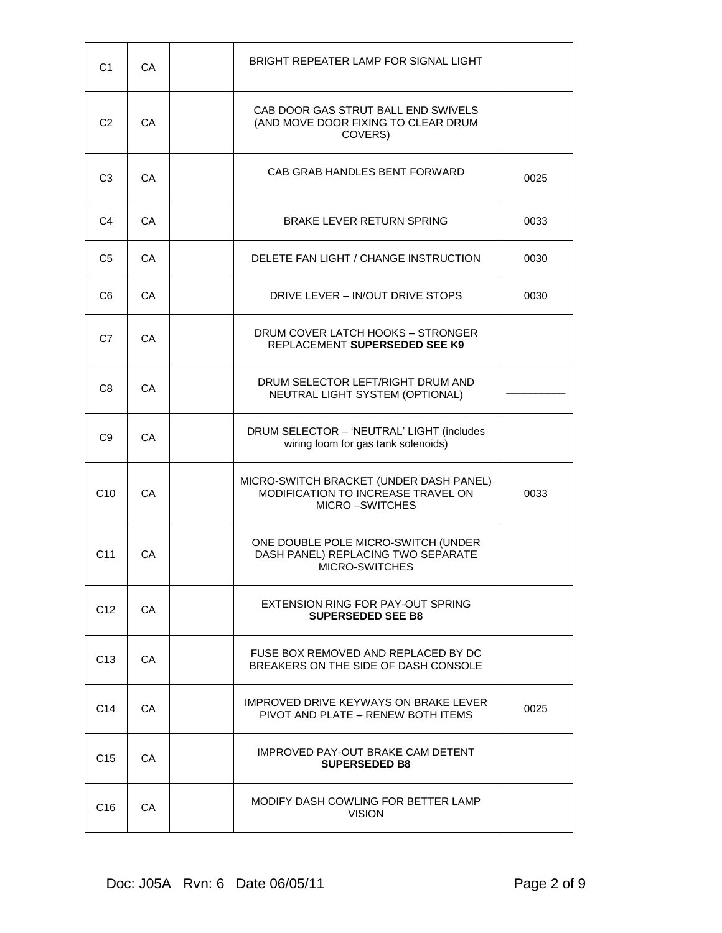| C <sub>1</sub>  | СA  | BRIGHT REPEATER LAMP FOR SIGNAL LIGHT                                                                  |      |
|-----------------|-----|--------------------------------------------------------------------------------------------------------|------|
| C <sub>2</sub>  | CA  | CAB DOOR GAS STRUT BALL END SWIVELS<br>(AND MOVE DOOR FIXING TO CLEAR DRUM<br>COVERS)                  |      |
| C <sub>3</sub>  | CA  | CAB GRAB HANDLES BENT FORWARD                                                                          | 0025 |
| C4              | СA  | BRAKE LEVER RETURN SPRING                                                                              | 0033 |
| C <sub>5</sub>  | CA  | DELETE FAN LIGHT / CHANGE INSTRUCTION                                                                  | 0030 |
| C6              | СA  | DRIVE LEVER - IN/OUT DRIVE STOPS                                                                       | 0030 |
| C7              | CA  | DRUM COVER LATCH HOOKS - STRONGER<br>REPLACEMENT SUPERSEDED SEE K9                                     |      |
| C <sub>8</sub>  | CA  | DRUM SELECTOR LEFT/RIGHT DRUM AND<br>NEUTRAL LIGHT SYSTEM (OPTIONAL)                                   |      |
| C <sub>9</sub>  | CA  | DRUM SELECTOR - 'NEUTRAL' LIGHT (includes<br>wiring loom for gas tank solenoids)                       |      |
| C10             | СA  | MICRO-SWITCH BRACKET (UNDER DASH PANEL)<br>MODIFICATION TO INCREASE TRAVEL ON<br><b>MICRO-SWITCHES</b> | 0033 |
| C <sub>11</sub> | СA  | ONE DOUBLE POLE MICRO-SWITCH (UNDER<br>DASH PANEL) REPLACING TWO SEPARATE<br>MICRO-SWITCHES            |      |
| C12             | CA. | EXTENSION RING FOR PAY-OUT SPRING<br><b>SUPERSEDED SEE B8</b>                                          |      |
| C13             | CA. | FUSE BOX REMOVED AND REPLACED BY DC<br>BREAKERS ON THE SIDE OF DASH CONSOLE                            |      |
| C14             | СA  | IMPROVED DRIVE KEYWAYS ON BRAKE LEVER<br>PIVOT AND PLATE - RENEW BOTH ITEMS                            | 0025 |
| C15             | CA. | IMPROVED PAY-OUT BRAKE CAM DETENT<br><b>SUPERSEDED B8</b>                                              |      |
| C16             | СA  | MODIFY DASH COWLING FOR BETTER LAMP<br><b>VISION</b>                                                   |      |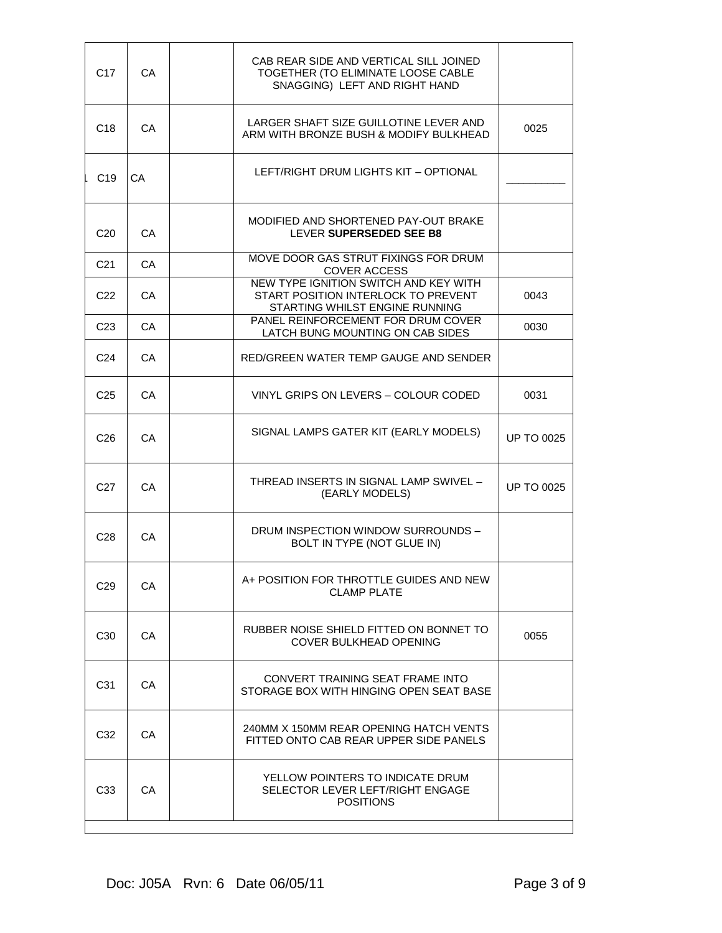| C <sub>17</sub> | СA  | CAB REAR SIDE AND VERTICAL SILL JOINED<br>TOGETHER (TO ELIMINATE LOOSE CABLE<br>SNAGGING) LEFT AND RIGHT HAND  |                   |
|-----------------|-----|----------------------------------------------------------------------------------------------------------------|-------------------|
| C <sub>18</sub> | CA. | LARGER SHAFT SIZE GUILLOTINE LEVER AND<br>ARM WITH BRONZE BUSH & MODIFY BULKHEAD                               | 0025              |
| C <sub>19</sub> | CA  | LEFT/RIGHT DRUM LIGHTS KIT - OPTIONAL                                                                          |                   |
| C <sub>20</sub> | CA  | MODIFIED AND SHORTENED PAY-OUT BRAKE<br>LEVER SUPERSEDED SEE B8                                                |                   |
| C21             | CA. | MOVE DOOR GAS STRUT FIXINGS FOR DRUM<br><b>COVER ACCESS</b>                                                    |                   |
| C <sub>22</sub> | СA  | NEW TYPE IGNITION SWITCH AND KEY WITH<br>START POSITION INTERLOCK TO PREVENT<br>STARTING WHILST ENGINE RUNNING | 0043              |
| C <sub>23</sub> | CA. | PANEL REINFORCEMENT FOR DRUM COVER<br>LATCH BUNG MOUNTING ON CAB SIDES                                         | 0030              |
| C <sub>24</sub> | CA  | RED/GREEN WATER TEMP GAUGE AND SENDER                                                                          |                   |
| C <sub>25</sub> | CA  | VINYL GRIPS ON LEVERS - COLOUR CODED                                                                           | 0031              |
| C <sub>26</sub> | CA  | SIGNAL LAMPS GATER KIT (EARLY MODELS)                                                                          | <b>UP TO 0025</b> |
| C <sub>27</sub> | CА  | THREAD INSERTS IN SIGNAL LAMP SWIVEL -<br>(EARLY MODELS)                                                       | <b>UP TO 0025</b> |
| C <sub>28</sub> | CA. | DRUM INSPECTION WINDOW SURROUNDS -<br>BOLT IN TYPE (NOT GLUE IN)                                               |                   |
| C <sub>29</sub> | СA  | A+ POSITION FOR THROTTLE GUIDES AND NEW<br><b>CLAMP PLATE</b>                                                  |                   |
| C <sub>30</sub> | СA  | RUBBER NOISE SHIELD FITTED ON BONNET TO<br>COVER BULKHEAD OPENING                                              | 0055              |
| C <sub>31</sub> | CA. | CONVERT TRAINING SEAT FRAME INTO<br>STORAGE BOX WITH HINGING OPEN SEAT BASE                                    |                   |
| C32             | CA  | 240MM X 150MM REAR OPENING HATCH VENTS<br>FITTED ONTO CAB REAR UPPER SIDE PANELS                               |                   |
| C <sub>33</sub> | СA  | YELLOW POINTERS TO INDICATE DRUM<br>SELECTOR LEVER LEFT/RIGHT ENGAGE<br><b>POSITIONS</b>                       |                   |
|                 |     |                                                                                                                |                   |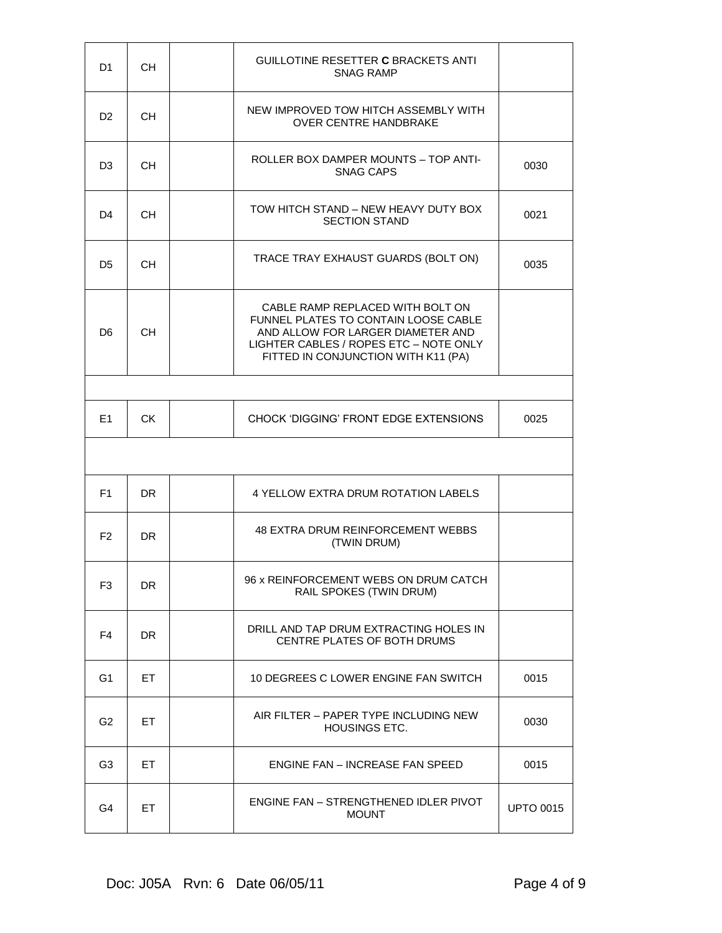| D1             | <b>CH</b> | GUILLOTINE RESETTER C BRACKETS ANTI<br><b>SNAG RAMP</b>                                                                                                                                        |                  |
|----------------|-----------|------------------------------------------------------------------------------------------------------------------------------------------------------------------------------------------------|------------------|
| D <sub>2</sub> | CH.       | NEW IMPROVED TOW HITCH ASSEMBLY WITH<br><b>OVER CENTRE HANDBRAKE</b>                                                                                                                           |                  |
| D3             | <b>CH</b> | ROLLER BOX DAMPER MOUNTS - TOP ANTI-<br><b>SNAG CAPS</b>                                                                                                                                       | 0030             |
| D4             | CH.       | TOW HITCH STAND – NEW HEAVY DUTY BOX<br><b>SECTION STAND</b>                                                                                                                                   | 0021             |
| D5             | <b>CH</b> | TRACE TRAY EXHAUST GUARDS (BOLT ON)                                                                                                                                                            | 0035             |
| D <sub>6</sub> | <b>CH</b> | CABLE RAMP REPLACED WITH BOLT ON<br>FUNNEL PLATES TO CONTAIN LOOSE CABLE<br>AND ALLOW FOR LARGER DIAMETER AND<br>LIGHTER CABLES / ROPES ETC - NOTE ONLY<br>FITTED IN CONJUNCTION WITH K11 (PA) |                  |
|                |           |                                                                                                                                                                                                |                  |
| E1             | <b>CK</b> | CHOCK 'DIGGING' FRONT EDGE EXTENSIONS                                                                                                                                                          | 0025             |
|                |           |                                                                                                                                                                                                |                  |
| F1             | DR.       | <b>4 YELLOW EXTRA DRUM ROTATION LABELS</b>                                                                                                                                                     |                  |
| F <sub>2</sub> | DR.       | 48 EXTRA DRUM REINFORCEMENT WEBBS<br>(TWIN DRUM)                                                                                                                                               |                  |
| F <sub>3</sub> | <b>DR</b> | 96 x REINFORCEMENT WEBS ON DRUM CATCH<br>RAIL SPOKES (TWIN DRUM)                                                                                                                               |                  |
| F <sub>4</sub> | <b>DR</b> | DRILL AND TAP DRUM EXTRACTING HOLES IN<br>CENTRE PLATES OF BOTH DRUMS                                                                                                                          |                  |
| G <sub>1</sub> | ET.       | 10 DEGREES C LOWER ENGINE FAN SWITCH                                                                                                                                                           | 0015             |
| G <sub>2</sub> | ET        | AIR FILTER - PAPER TYPE INCLUDING NEW<br><b>HOUSINGS ETC.</b>                                                                                                                                  | 0030             |
| G <sub>3</sub> | ET        | ENGINE FAN – INCREASE FAN SPEED                                                                                                                                                                | 0015             |
| G4             | ET        | ENGINE FAN - STRENGTHENED IDLER PIVOT<br><b>MOUNT</b>                                                                                                                                          | <b>UPTO 0015</b> |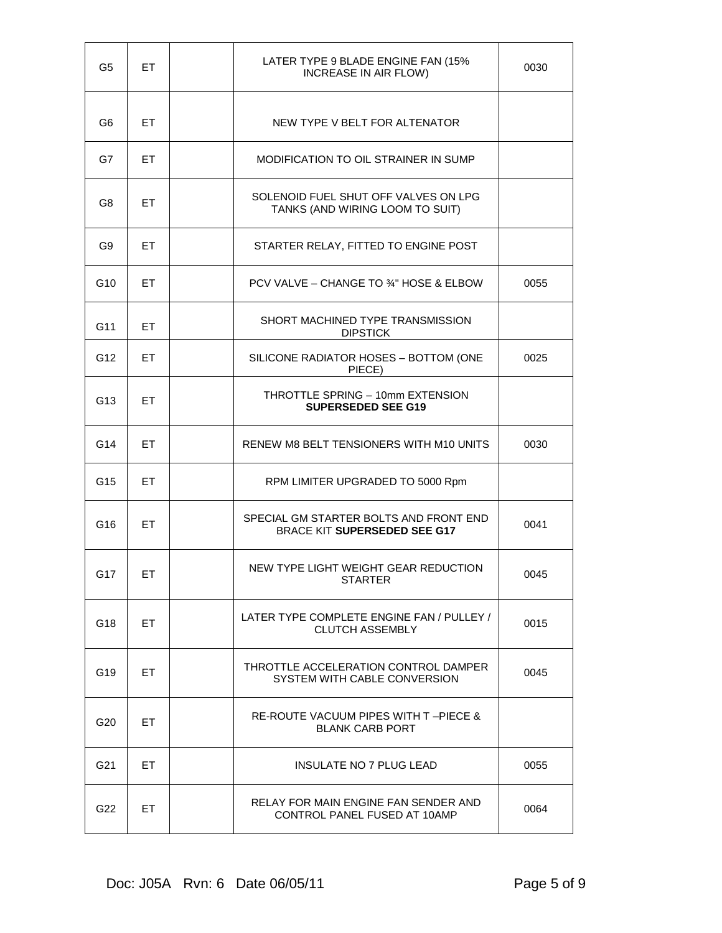| G <sub>5</sub>  | ET. | LATER TYPE 9 BLADE ENGINE FAN (15%<br><b>INCREASE IN AIR FLOW)</b>        | 0030 |
|-----------------|-----|---------------------------------------------------------------------------|------|
| G6              | ET  | NEW TYPE V BELT FOR ALTENATOR                                             |      |
| G7              | ET  | MODIFICATION TO OIL STRAINER IN SUMP                                      |      |
| G8              | ET. | SOLENOID FUEL SHUT OFF VALVES ON LPG<br>TANKS (AND WIRING LOOM TO SUIT)   |      |
| G9              | ET  | STARTER RELAY, FITTED TO ENGINE POST                                      |      |
| G <sub>10</sub> | ET  | PCV VALVE – CHANGE TO 34" HOSE & ELBOW                                    | 0055 |
| G11             | ET. | SHORT MACHINED TYPE TRANSMISSION<br><b>DIPSTICK</b>                       |      |
| G <sub>12</sub> | ET  | SILICONE RADIATOR HOSES - BOTTOM (ONE<br>PIECE)                           | 0025 |
| G <sub>13</sub> | ET. | THROTTLE SPRING - 10mm EXTENSION<br><b>SUPERSEDED SEE G19</b>             |      |
| G14             | ET  | RENEW M8 BELT TENSIONERS WITH M10 UNITS                                   | 0030 |
| G <sub>15</sub> | ET  | RPM LIMITER UPGRADED TO 5000 Rpm                                          |      |
| G16             | ET  | SPECIAL GM STARTER BOLTS AND FRONT END<br>BRACE KIT SUPERSEDED SEE G17    | 0041 |
| G17             | ET  | NEW TYPE LIGHT WEIGHT GEAR REDUCTION<br><b>STARTER</b>                    | 0045 |
| G18             | ET. | LATER TYPE COMPLETE ENGINE FAN / PULLEY /<br><b>CLUTCH ASSEMBLY</b>       | 0015 |
| G19             | ET. | THROTTLE ACCELERATION CONTROL DAMPER<br>SYSTEM WITH CABLE CONVERSION      | 0045 |
| G <sub>20</sub> | ET. | <b>RE-ROUTE VACUUM PIPES WITH T-PIECE &amp;</b><br><b>BLANK CARB PORT</b> |      |
| G21             | ET  | INSULATE NO 7 PLUG LEAD                                                   | 0055 |
| G22             | ET  | RELAY FOR MAIN ENGINE FAN SENDER AND<br>CONTROL PANEL FUSED AT 10AMP      | 0064 |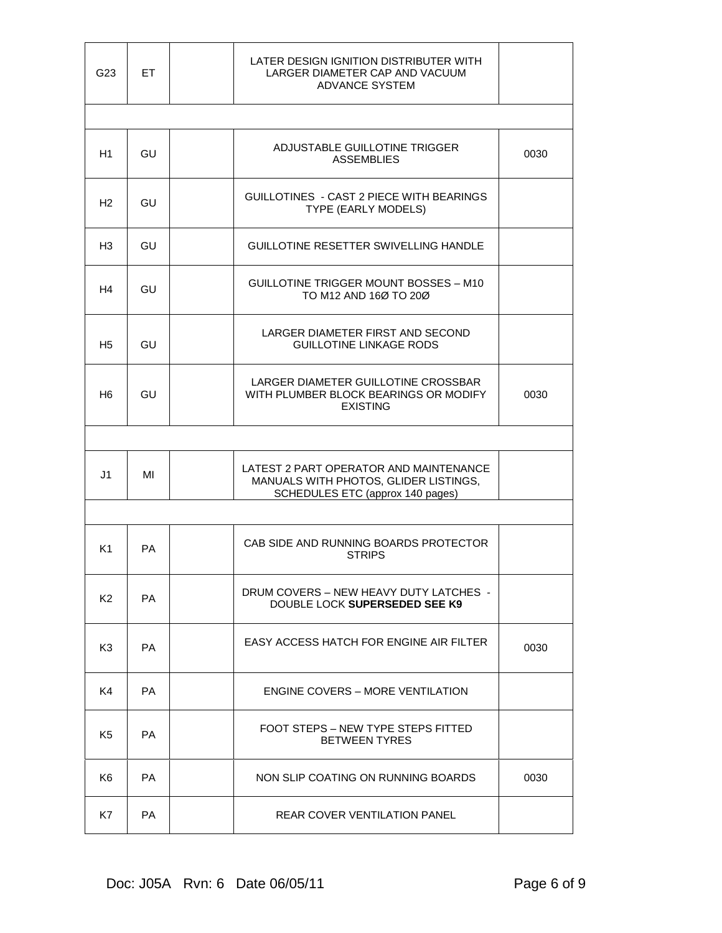| G23            | ET        | LATER DESIGN IGNITION DISTRIBUTER WITH<br>LARGER DIAMETER CAP AND VACUUM<br><b>ADVANCE SYSTEM</b>                   |      |
|----------------|-----------|---------------------------------------------------------------------------------------------------------------------|------|
|                |           |                                                                                                                     |      |
| H1             | GU        | ADJUSTABLE GUILLOTINE TRIGGER<br><b>ASSEMBLIES</b>                                                                  | 0030 |
| H <sub>2</sub> | GU        | GUILLOTINES - CAST 2 PIECE WITH BEARINGS<br>TYPE (EARLY MODELS)                                                     |      |
| H3             | GU        | <b>GUILLOTINE RESETTER SWIVELLING HANDLE</b>                                                                        |      |
| H4             | GU        | GUILLOTINE TRIGGER MOUNT BOSSES - M10<br>TO M12 AND 16Ø TO 20Ø                                                      |      |
| H5             | GU        | LARGER DIAMETER FIRST AND SECOND<br><b>GUILLOTINE LINKAGE RODS</b>                                                  |      |
| H6             | GU        | LARGER DIAMETER GUILLOTINE CROSSBAR<br>WITH PLUMBER BLOCK BEARINGS OR MODIFY<br><b>EXISTING</b>                     | 0030 |
|                |           |                                                                                                                     |      |
| J1             | MI        | LATEST 2 PART OPERATOR AND MAINTENANCE<br>MANUALS WITH PHOTOS, GLIDER LISTINGS,<br>SCHEDULES ETC (approx 140 pages) |      |
|                |           |                                                                                                                     |      |
| K1             | PA        | CAB SIDE AND RUNNING BOARDS PROTECTOR<br><b>STRIPS</b>                                                              |      |
| K <sub>2</sub> | PA        | DRUM COVERS – NEW HEAVY DUTY LATCHES –<br>DOUBLE LOCK SUPERSEDED SEE K9                                             |      |
| K3             | PA.       | EASY ACCESS HATCH FOR ENGINE AIR FILTER                                                                             | 0030 |
| K <sub>4</sub> | <b>PA</b> | <b>ENGINE COVERS - MORE VENTILATION</b>                                                                             |      |
| K5             | PA        | FOOT STEPS – NEW TYPE STEPS FITTED<br><b>BETWEEN TYRES</b>                                                          |      |
| K <sub>6</sub> | <b>PA</b> | NON SLIP COATING ON RUNNING BOARDS                                                                                  | 0030 |
| K7             | PA        | REAR COVER VENTILATION PANEL                                                                                        |      |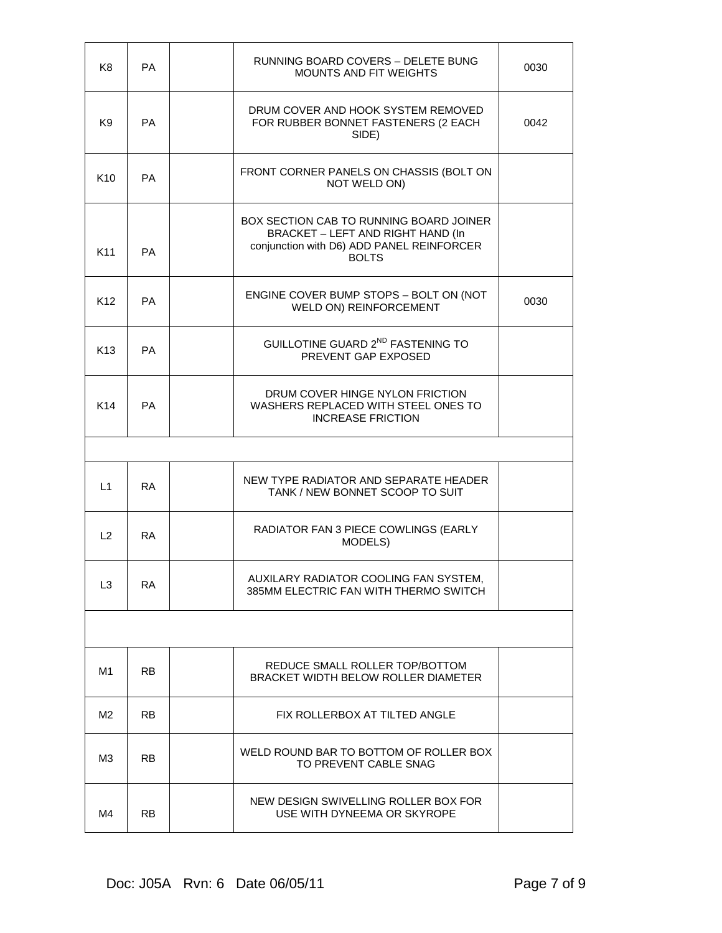| K <sub>8</sub>  | PA        | RUNNING BOARD COVERS - DELETE BUNG<br><b>MOUNTS AND FIT WEIGHTS</b>                                                                       | 0030 |
|-----------------|-----------|-------------------------------------------------------------------------------------------------------------------------------------------|------|
| K9              | PA        | DRUM COVER AND HOOK SYSTEM REMOVED<br>FOR RUBBER BONNET FASTENERS (2 EACH<br>SIDE)                                                        | 0042 |
| K <sub>10</sub> | PA        | FRONT CORNER PANELS ON CHASSIS (BOLT ON<br>NOT WELD ON)                                                                                   |      |
| K <sub>11</sub> | PA        | BOX SECTION CAB TO RUNNING BOARD JOINER<br>BRACKET - LEFT AND RIGHT HAND (In<br>conjunction with D6) ADD PANEL REINFORCER<br><b>BOLTS</b> |      |
| K <sub>12</sub> | PA        | ENGINE COVER BUMP STOPS - BOLT ON (NOT<br>WELD ON) REINFORCEMENT                                                                          | 0030 |
| K <sub>13</sub> | PA        | GUILLOTINE GUARD 2 <sup>ND</sup> FASTENING TO<br>PREVENT GAP EXPOSED                                                                      |      |
| K14             | PA        | DRUM COVER HINGE NYLON FRICTION<br>WASHERS REPLACED WITH STEEL ONES TO<br><b>INCREASE FRICTION</b>                                        |      |
|                 |           |                                                                                                                                           |      |
| L1              | <b>RA</b> | NEW TYPE RADIATOR AND SEPARATE HEADER<br>TANK / NEW BONNET SCOOP TO SUIT                                                                  |      |
| L2              | <b>RA</b> | RADIATOR FAN 3 PIECE COWLINGS (EARLY<br>MODELS)                                                                                           |      |
| L3              | RA        | AUXILARY RADIATOR COOLING FAN SYSTEM,<br>385MM ELECTRIC FAN WITH THERMO SWITCH                                                            |      |
|                 |           |                                                                                                                                           |      |
| M1              | RB.       | REDUCE SMALL ROLLER TOP/BOTTOM<br><b>BRACKET WIDTH BELOW ROLLER DIAMETER</b>                                                              |      |
| M2.             | RB.       | FIX ROLLERBOX AT TILTED ANGLE                                                                                                             |      |
| ΜЗ              | RB.       | WELD ROUND BAR TO BOTTOM OF ROLLER BOX<br>TO PREVENT CABLE SNAG                                                                           |      |
| M4              | <b>RB</b> | NEW DESIGN SWIVELLING ROLLER BOX FOR<br>USE WITH DYNEEMA OR SKYROPE                                                                       |      |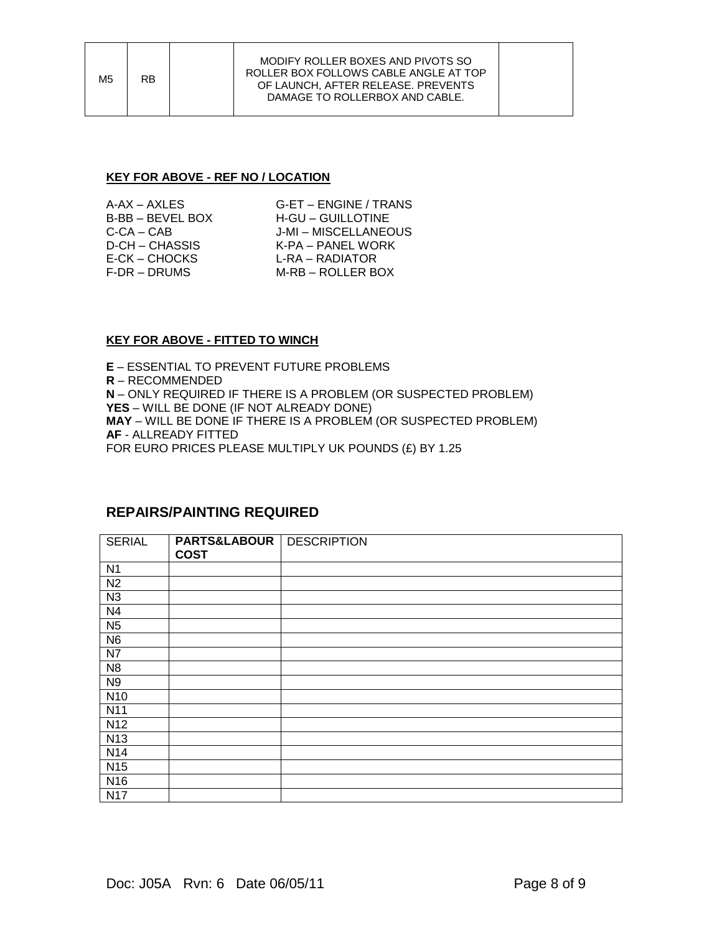#### **KEY FOR ABOVE - REF NO / LOCATION**

| $A-AX - AXLES$      |  |
|---------------------|--|
| B-BB - BEVEL BOX    |  |
| C-CA – CAB          |  |
| D-CH – CHASSIS      |  |
| E-CK – CHOCKS       |  |
| <b>F-DR – DRUMS</b> |  |

G-ET – ENGINE / TRANS H-GU – GUILLOTINE J-MI – MISCELLANEOUS K-PA – PANEL WORK L-RA – RADIATOR M-RB – ROLLER BOX

#### **KEY FOR ABOVE - FITTED TO WINCH**

**E** – ESSENTIAL TO PREVENT FUTURE PROBLEMS **R** – RECOMMENDED **N** – ONLY REQUIRED IF THERE IS A PROBLEM (OR SUSPECTED PROBLEM) **YES** – WILL BE DONE (IF NOT ALREADY DONE) **MAY** – WILL BE DONE IF THERE IS A PROBLEM (OR SUSPECTED PROBLEM) **AF** - ALLREADY FITTED FOR EURO PRICES PLEASE MULTIPLY UK POUNDS (£) BY 1.25

### **REPAIRS/PAINTING REQUIRED**

| <b>SERIAL</b>   | <b>PARTS&amp;LABOUR   DESCRIPTION</b><br><b>COST</b> |  |
|-----------------|------------------------------------------------------|--|
|                 |                                                      |  |
| N <sub>1</sub>  |                                                      |  |
| N <sub>2</sub>  |                                                      |  |
| N3              |                                                      |  |
| N <sub>4</sub>  |                                                      |  |
| N <sub>5</sub>  |                                                      |  |
| N <sub>6</sub>  |                                                      |  |
| N7              |                                                      |  |
| N <sub>8</sub>  |                                                      |  |
| N <sub>9</sub>  |                                                      |  |
| N <sub>10</sub> |                                                      |  |
| N <sub>11</sub> |                                                      |  |
| N <sub>12</sub> |                                                      |  |
| N <sub>13</sub> |                                                      |  |
| N <sub>14</sub> |                                                      |  |
| N <sub>15</sub> |                                                      |  |
| N <sub>16</sub> |                                                      |  |
| <b>N17</b>      |                                                      |  |